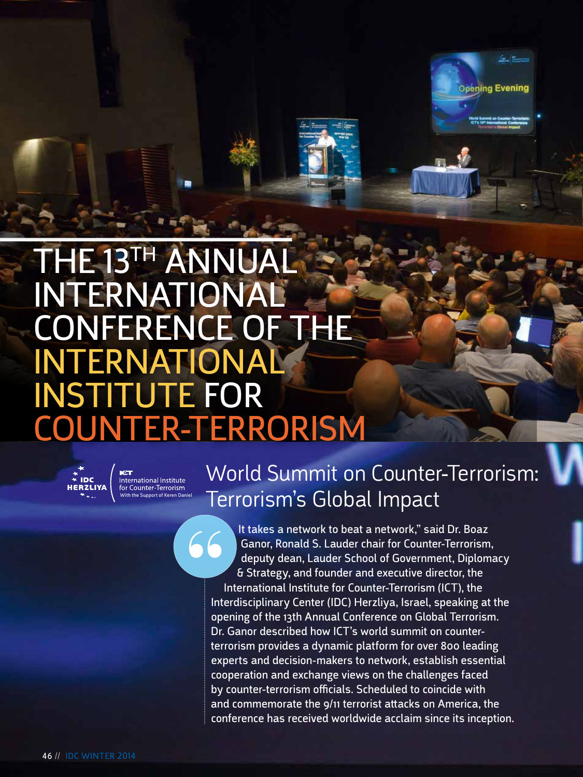# THE 13TH ANNUA INTERNATIONAL CONFERENCE OF THE INTERNATIONAL INSTITUTE FOR COUNTER-TERRORISM



International Institute<br>for Counter-Terrorism With the Support of Keren Daniel

## World Summit on Counter-Terrorism: Terrorism's Global Impact

**Opening Evening** 

It takes a network to beat a network," said Dr. Boaz Ganor, Ronald S. Lauder chair for Counter-Terrorism, deputy dean, Lauder School of Government, Diplomacy & Strategy, and founder and executive director, the International Institute for Counter-Terrorism (ICT), the Interdisciplinary Center (IDC) Herzliya, Israel, speaking at the opening of the 13th Annual Conference on Global Terrorism. Dr. Ganor described how ICT's world summit on counterterrorism provides a dynamic platform for over 800 leading experts and decision-makers to network, establish essential cooperation and exchange views on the challenges faced by counter-terrorism officials. Scheduled to coincide with and commemorate the 9/11 terrorist attacks on America, the conference has received worldwide acclaim since its inception. **66**<br>
Inte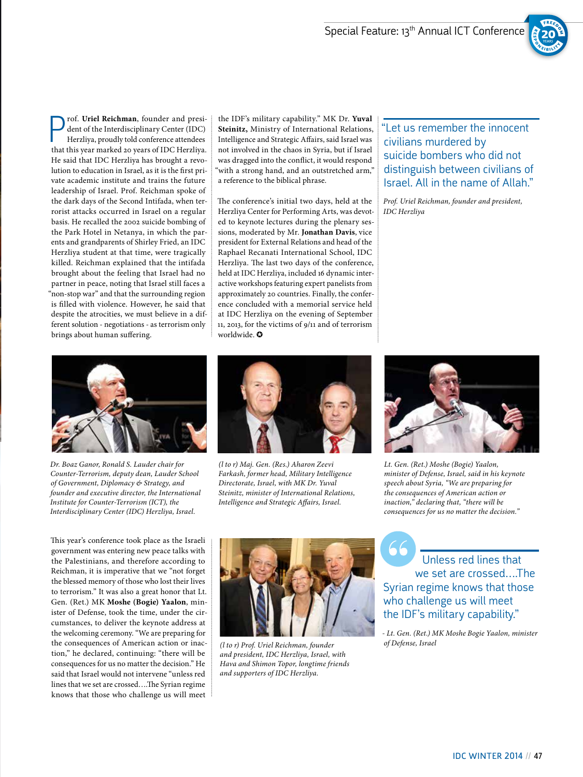

**P** rof. **Uriel Reichman**, founder and president of the Interdisciplinary Center (IDC) Herzliya, proudly told conference attendees that this year marked 20 years of IDC Herzliya. rof. **Uriel Reichman**, founder and president of the Interdisciplinary Center (IDC) Herzliya, proudly told conference attendees He said that IDC Herzliya has brought a revolution to education in Israel, as it is the first private academic institute and trains the future leadership of Israel. Prof. Reichman spoke of the dark days of the Second Intifada, when terrorist attacks occurred in Israel on a regular basis. He recalled the 2002 suicide bombing of the Park Hotel in Netanya, in which the parents and grandparents of Shirley Fried, an IDC Herzliya student at that time, were tragically killed. Reichman explained that the intifada brought about the feeling that Israel had no partner in peace, noting that Israel still faces a "non-stop war" and that the surrounding region is filled with violence. However, he said that despite the atrocities, we must believe in a different solution - negotiations - as terrorism only brings about human suffering.

the IDF's military capability." MK Dr. **Yuval Steinitz,** Ministry of International Relations, Intelligence and Strategic Affairs, said Israel was not involved in the chaos in Syria, but if Israel was dragged into the conflict, it would respond 'with a strong hand, and an outstretched arm," a reference to the biblical phrase.

The conference's initial two days, held at the Herzliya Center for Performing Arts, was devoted to keynote lectures during the plenary sessions, moderated by Mr. **Jonathan Davis**, vice president for External Relations and head of the Raphael Recanati International School, IDC Herzliya. The last two days of the conference, held at IDC Herzliya, included 16 dynamic interactive workshops featuring expert panelists from approximately 20 countries. Finally, the conference concluded with a memorial service held at IDC Herzliya on the evening of September 11, 2013, for the victims of 9/11 and of terrorism worldwide. ✪

"Let us remember the innocent civilians murdered by suicide bombers who did not distinguish between civilians of Israel. All in the name of Allah."

*Prof. Uriel Reichman, founder and president, IDC Herzliya*



*Dr. Boaz Ganor, Ronald S. Lauder chair for Counter-Terrorism, deputy dean, Lauder School of Government, Diplomacy & Strategy, and founder and executive director, the International Institute for Counter-Terrorism (ICT), the Interdisciplinary Center (IDC) Herzliya, Israel.*

This year's conference took place as the Israeli government was entering new peace talks with the Palestinians, and therefore according to Reichman, it is imperative that we "not forget the blessed memory of those who lost their lives to terrorism." It was also a great honor that Lt. Gen. (Ret.) MK **Moshe (Bogie) Yaalon**, minister of Defense, took the time, under the circumstances, to deliver the keynote address at the welcoming ceremony. "We are preparing for the consequences of American action or inaction," he declared, continuing: "there will be consequences for us no matter the decision." He said that Israel would not intervene "unless red lines that we set are crossed….The Syrian regime knows that those who challenge us will meet



*(l to r) Maj. Gen. (Res.) Aharon Zeevi Farkash, former head, Military Intelligence Directorate, Israel, with MK Dr. Yuval Steinitz, minister of International Relations, Intelligence and Strategic Affairs, Israel.*



*Lt. Gen. (Ret.) Moshe (Bogie) Yaalon, minister of Defense, Israel, said in his keynote speech about Syria, "We are preparing for the consequences of American action or inaction," declaring that, "there will be consequences for us no matter the decision."*



*of Defense, Israel (l to r) Prof. Uriel Reichman, founder and president, IDC Herzliya, Israel, with Hava and Shimon Topor, longtime friends and supporters of IDC Herzliya.*

 Unless red lines that we set are crossed….The Syrian regime knows that those who challenge us will meet the IDF's military capability."

*- Lt. Gen. (Ret.) MK Moshe Bogie Yaalon, minister*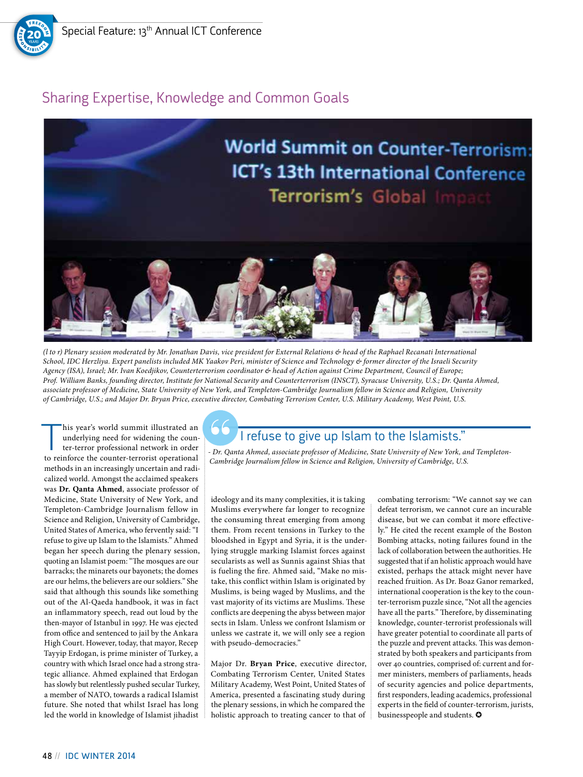

## Sharing Expertise, Knowledge and Common Goals



*(l to r) Plenary session moderated by Mr. Jonathan Davis, vice president for External Relations & head of the Raphael Recanati International School, IDC Herzliya. Expert panelists included MK Yaakov Peri, minister of Science and Technology & former director of the Israeli Security Agency (ISA), Israel; Mr. Ivan Koedjikov, Counterterrorism coordinator & head of Action against Crime Department, Council of Europe; Prof. William Banks, founding director, Institute for National Security and Counterterrorism (INSCT), Syracuse University, U.S.; Dr. Qanta Ahmed, associate professor of Medicine, State University of New York, and Templeton-Cambridge Journalism fellow in Science and Religion, University of Cambridge, U.S.; and Major Dr. Bryan Price, executive director, Combating Terrorism Center, U.S. Military Academy, West Point, U.S.*

This year's world summit illustrated and<br>underlying need for widening the counter-terror professional network in order<br>to reinforce the counter-terrorist operational underlying need for widening the counto reinforce the counter-terrorist operational methods in an increasingly uncertain and radicalized world. Amongst the acclaimed speakers was **Dr. Qanta Ahmed**, associate professor of Medicine, State University of New York, and Templeton-Cambridge Journalism fellow in Science and Religion, University of Cambridge, United States of America, who fervently said: "I refuse to give up Islam to the Islamists." Ahmed began her speech during the plenary session, quoting an Islamist poem: "The mosques are our barracks; the minarets our bayonets; the domes are our helms, the believers are our soldiers." She said that although this sounds like something out of the Al-Qaeda handbook, it was in fact an inflammatory speech, read out loud by the then-mayor of Istanbul in 1997. He was ejected from office and sentenced to jail by the Ankara High Court. However, today, that mayor, Recep Tayyip Erdogan, is prime minister of Turkey, a country with which Israel once had a strong strategic alliance. Ahmed explained that Erdogan has slowly but relentlessly pushed secular Turkey, a member of NATO, towards a radical Islamist future. She noted that whilst Israel has long led the world in knowledge of Islamist jihadist

## I refuse to give up Islam to the Islamists."

*- Dr. Qanta Ahmed, associate professor of Medicine, State University of New York, and Templeton-Cambridge Journalism fellow in Science and Religion, University of Cambridge, U.S.*

ideology and its many complexities, it is taking Muslims everywhere far longer to recognize the consuming threat emerging from among them. From recent tensions in Turkey to the bloodshed in Egypt and Syria, it is the underlying struggle marking Islamist forces against secularists as well as Sunnis against Shias that is fueling the fire. Ahmed said, "Make no mistake, this conflict within Islam is originated by Muslims, is being waged by Muslims, and the vast majority of its victims are Muslims. These conflicts are deepening the abyss between major sects in Islam. Unless we confront Islamism or unless we castrate it, we will only see a region with pseudo-democracies."

Major Dr. **Bryan Price**, executive director, Combating Terrorism Center, United States Military Academy, West Point, United States of America, presented a fascinating study during the plenary sessions, in which he compared the holistic approach to treating cancer to that of combating terrorism: "We cannot say we can defeat terrorism, we cannot cure an incurable disease, but we can combat it more effectively." He cited the recent example of the Boston Bombing attacks, noting failures found in the lack of collaboration between the authorities. He suggested that if an holistic approach would have existed, perhaps the attack might never have reached fruition. As Dr. Boaz Ganor remarked, international cooperation is the key to the counter-terrorism puzzle since, "Not all the agencies have all the parts." Therefore, by disseminating knowledge, counter-terrorist professionals will have greater potential to coordinate all parts of the puzzle and prevent attacks. This was demonstrated by both speakers and participants from over 40 countries, comprised of: current and former ministers, members of parliaments, heads of security agencies and police departments, first responders, leading academics, professional experts in the field of counter-terrorism, jurists, businesspeople and students.  $\bullet$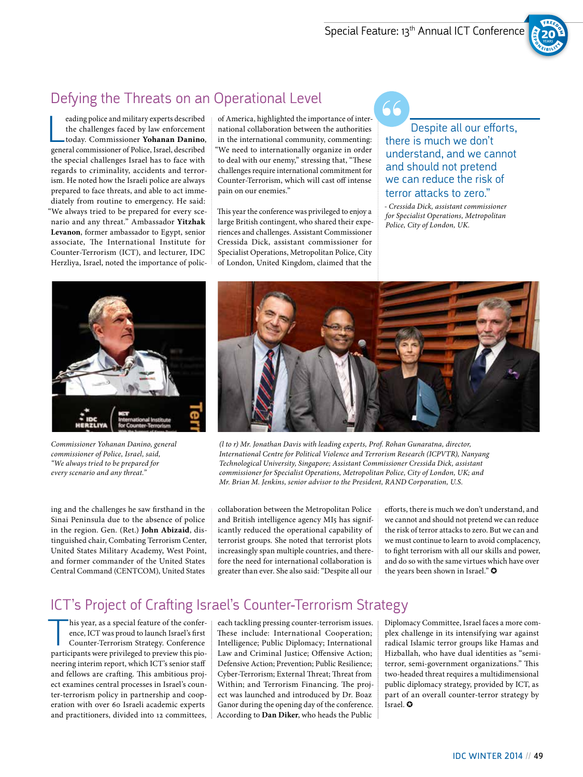66



## Defying the Threats on an Operational Level

eading police and military experts described<br>the challenges faced by law enforcement<br>today. Commissioner **Yohanan Danino**<br>general commissioner of Police, Israel, described eading police and military experts described the challenges faced by law enforcement today. Commissioner **Yohanan Danino**, the special challenges Israel has to face with regards to criminality, accidents and terrorism. He noted how the Israeli police are always prepared to face threats, and able to act immediately from routine to emergency. He said: "We always tried to be prepared for every scenario and any threat." Ambassador **Yitzhak Levanon**, former ambassador to Egypt, senior associate, The International Institute for Counter-Terrorism (ICT), and lecturer, IDC Herzliya, Israel, noted the importance of polic-

of America, highlighted the importance of international collaboration between the authorities in the international community, commenting: "We need to internationally organize in order to deal with our enemy," stressing that, "These challenges require international commitment for Counter-Terrorism, which will cast off intense pain on our enemies."

This year the conference was privileged to enjoy a large British contingent, who shared their experiences and challenges. Assistant Commissioner Cressida Dick, assistant commissioner for Specialist Operations, Metropolitan Police, City of London, United Kingdom, claimed that the

Despite all our efforts, there is much we don't understand, and we cannot and should not pretend we can reduce the risk of terror attacks to zero."

*- Cressida Dick, assistant commissioner for Specialist Operations, Metropolitan Police, City of London, UK.*



*Commissioner Yohanan Danino, general commissioner of Police, Israel, said, "We always tried to be prepared for every scenario and any threat."*

ing and the challenges he saw firsthand in the Sinai Peninsula due to the absence of police in the region. Gen. (Ret.) **John Abizaid**, distinguished chair, Combating Terrorism Center, United States Military Academy, West Point, and former commander of the United States Central Command (CENTCOM), United States



*(l to r) Mr. Jonathan Davis with leading experts, Prof. Rohan Gunaratna, director, International Centre for Political Violence and Terrorism Research (ICPVTR), Nanyang Technological University, Singapore; Assistant Commissioner Cressida Dick, assistant commissioner for Specialist Operations, Metropolitan Police, City of London, UK; and Mr. Brian M. Jenkins, senior advisor to the President, RAND Corporation, U.S.*

collaboration between the Metropolitan Police and British intelligence agency MI5 has significantly reduced the operational capability of terrorist groups. She noted that terrorist plots increasingly span multiple countries, and therefore the need for international collaboration is greater than ever. She also said: "Despite all our

efforts, there is much we don't understand, and we cannot and should not pretend we can reduce the risk of terror attacks to zero. But we can and we must continue to learn to avoid complacency, to fight terrorism with all our skills and power, and do so with the same virtues which have over the years been shown in Israel."  $\odot$ 

#### ICT's Project of Crafting Israel's Counter-Terrorism Strategy

his year, as a special feature of the confer-<br>ence, ICT was proud to launch Israel's first<br>Counter-Terrorism Strategy. Conference<br>participants were privileged to preview this pioence, ICT was proud to launch Israel's first Counter-Terrorism Strategy. Conference participants were privileged to preview this pioneering interim report, which ICT's senior staff and fellows are crafting. This ambitious project examines central processes in Israel's counter-terrorism policy in partnership and cooperation with over 60 Israeli academic experts and practitioners, divided into 12 committees,

each tackling pressing counter-terrorism issues. These include: International Cooperation; Intelligence; Public Diplomacy; International Law and Criminal Justice; Offensive Action; Defensive Action; Prevention; Public Resilience; Cyber-Terrorism; External Threat; Threat from Within; and Terrorism Financing. The project was launched and introduced by Dr. Boaz Ganor during the opening day of the conference. According to **Dan Diker**, who heads the Public Diplomacy Committee, Israel faces a more complex challenge in its intensifying war against radical Islamic terror groups like Hamas and Hizballah, who have dual identities as "semiterror, semi-government organizations." This two-headed threat requires a multidimensional public diplomacy strategy, provided by ICT, as part of an overall counter-terror strategy by Israel. ✪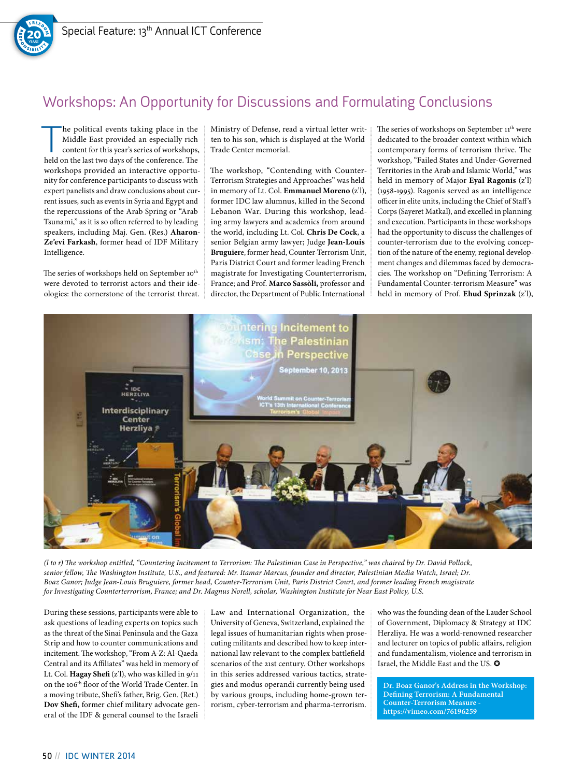

## Workshops: An Opportunity for Discussions and Formulating Conclusions

he political events taking place in the Middle East provided an especially rich content for this year's series of workshops, held on the last two days of the conference. The workshops provided an interactive opportunity for conference participants to discuss with expert panelists and draw conclusions about current issues, such as events in Syria and Egypt and the repercussions of the Arab Spring or "Arab Tsunami," as it is so often referred to by leading speakers, including Maj. Gen. (Res.) **Aharon-Ze'evi Farkash**, former head of IDF Military Intelligence.

The series of workshops held on September 10<sup>th</sup> were devoted to terrorist actors and their ideologies: the cornerstone of the terrorist threat. Ministry of Defense, read a virtual letter written to his son, which is displayed at the World Trade Center memorial.

The workshop, "Contending with Counter-Terrorism Strategies and Approaches" was held in memory of Lt. Col. **Emmanuel Moreno** (z'l), former IDC law alumnus, killed in the Second Lebanon War. During this workshop, leading army lawyers and academics from around the world, including Lt. Col. **Chris De Cock**, a senior Belgian army lawyer; Judge **Jean-Louis Bruguier**e, former head, Counter-Terrorism Unit, Paris District Court and former leading French magistrate for Investigating Counterterrorism, France; and Prof. **Marco Sassòli,** professor and director, the Department of Public International

The series of workshops on September 11<sup>th</sup> were dedicated to the broader context within which contemporary forms of terrorism thrive. The workshop, "Failed States and Under-Governed Territories in the Arab and Islamic World," was held in memory of Major **Eyal Ragonis** (z'l) (1958-1995). Ragonis served as an intelligence officer in elite units, including the Chief of Staff's Corps (Sayeret Matkal), and excelled in planning and execution. Participants in these workshops had the opportunity to discuss the challenges of counter-terrorism due to the evolving conception of the nature of the enemy, regional development changes and dilemmas faced by democracies. The workshop on "Defining Terrorism: A Fundamental Counter-terrorism Measure" was held in memory of Prof. **Ehud Sprinzak** (z'l),



*(l to r) The workshop entitled, "Countering Incitement to Terrorism: The Palestinian Case in Perspective," was chaired by Dr. David Pollock, senior fellow, The Washington Institute, U.S., and featured: Mr. Itamar Marcus, founder and director, Palestinian Media Watch, Israel; Dr. Boaz Ganor; Judge Jean-Louis Bruguiere, former head, Counter-Terrorism Unit, Paris District Court, and former leading French magistrate for Investigating Counterterrorism, France; and Dr. Magnus Norell, scholar, Washington Institute for Near East Policy, U.S.*

During these sessions, participants were able to ask questions of leading experts on topics such as the threat of the Sinai Peninsula and the Gaza Strip and how to counter communications and incitement. The workshop, "From A-Z: Al-Qaeda Central and its Affiliates" was held in memory of Lt. Col. **Hagay Shefi** (z'l), who was killed in 9/11 on the 106th floor of the World Trade Center. In a moving tribute, Shefi's father, Brig. Gen. (Ret.) **Dov Shefi,** former chief military advocate general of the IDF & general counsel to the Israeli Law and International Organization, the University of Geneva, Switzerland, explained the legal issues of humanitarian rights when prosecuting militants and described how to keep international law relevant to the complex battlefield scenarios of the 21st century. Other workshops in this series addressed various tactics, strategies and modus operandi currently being used by various groups, including home-grown terrorism, cyber-terrorism and pharma-terrorism. who was the founding dean of the Lauder School of Government, Diplomacy & Strategy at IDC Herzliya. He was a world-renowned researcher and lecturer on topics of public affairs, religion and fundamentalism, violence and terrorism in Israel, the Middle East and the US.  $\bullet$ 

**Dr. Boaz Ganor's Address in the Workshop: Defining Terrorism: A Fundamental Counter-Terrorism Measure https://vimeo.com/76196259**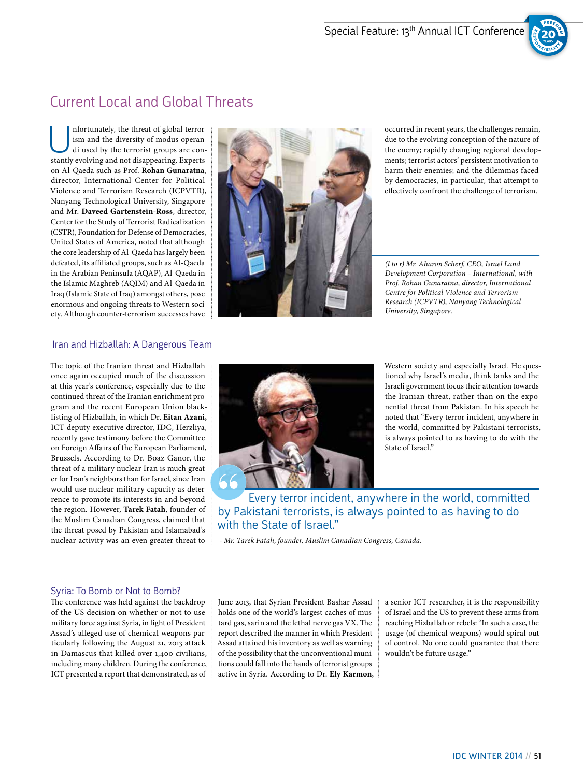

#### Current Local and Global Threats

Unfortunately, the threat of global terror-di used by the terrorist groups are conism and the diversity of modus operanstantly evolving and not disappearing. Experts on Al-Qaeda such as Prof. **Rohan Gunaratna**, director, International Center for Political Violence and Terrorism Research (ICPVTR), Nanyang Technological University, Singapore and Mr. **Daveed Gartenstein-Ross**, director, Center for the Study of Terrorist Radicalization (CSTR), Foundation for Defense of Democracies, United States of America, noted that although the core leadership of Al-Qaeda has largely been defeated, its affiliated groups, such as Al-Qaeda in the Arabian Peninsula (AQAP), Al-Qaeda in the Islamic Maghreb (AQIM) and Al-Qaeda in Iraq (Islamic State of Iraq) amongst others, pose enormous and ongoing threats to Western society. Although counter-terrorism successes have

#### Iran and Hizballah: A Dangerous Team

The topic of the Iranian threat and Hizballah once again occupied much of the discussion at this year's conference, especially due to the continued threat of the Iranian enrichment program and the recent European Union blacklisting of Hizballah, in which Dr. **Eitan Azani,**  ICT deputy executive director, IDC, Herzliya, recently gave testimony before the Committee on Foreign Affairs of the European Parliament, Brussels. According to Dr. Boaz Ganor, the threat of a military nuclear Iran is much greater for Iran's neighbors than for Israel, since Iran would use nuclear military capacity as deterrence to promote its interests in and beyond the region. However, **Tarek Fatah**, founder of the Muslim Canadian Congress, claimed that the threat posed by Pakistan and Islamabad's nuclear activity was an even greater threat to



occurred in recent years, the challenges remain, due to the evolving conception of the nature of the enemy; rapidly changing regional developments; terrorist actors' persistent motivation to harm their enemies; and the dilemmas faced by democracies, in particular, that attempt to effectively confront the challenge of terrorism.

*(l to r) Mr. Aharon Scherf, CEO, Israel Land Development Corporation – International, with Prof. Rohan Gunaratna, director, International Centre for Political Violence and Terrorism Research (ICPVTR), Nanyang Technological University, Singapore.*



Western society and especially Israel. He questioned why Israel's media, think tanks and the Israeli government focus their attention towards the Iranian threat, rather than on the exponential threat from Pakistan. In his speech he noted that "Every terror incident, anywhere in the world, committed by Pakistani terrorists, is always pointed to as having to do with the State of Israel."

Every terror incident, anywhere in the world, committed by Pakistani terrorists, is always pointed to as having to do with the State of Israel."

 *- Mr. Tarek Fatah, founder, Muslim Canadian Congress, Canada.*

#### Syria: To Bomb or Not to Bomb?

The conference was held against the backdrop of the US decision on whether or not to use military force against Syria, in light of President Assad's alleged use of chemical weapons particularly following the August 21, 2013 attack in Damascus that killed over 1,400 civilians, including many children. During the conference, ICT presented a report that demonstrated, as of

June 2013, that Syrian President Bashar Assad holds one of the world's largest caches of mustard gas, sarin and the lethal nerve gas VX. The report described the manner in which President Assad attained his inventory as well as warning of the possibility that the unconventional munitions could fall into the hands of terrorist groups active in Syria. According to Dr. **Ely Karmon**, a senior ICT researcher, it is the responsibility of Israel and the US to prevent these arms from reaching Hizballah or rebels: "In such a case, the usage (of chemical weapons) would spiral out of control. No one could guarantee that there wouldn't be future usage."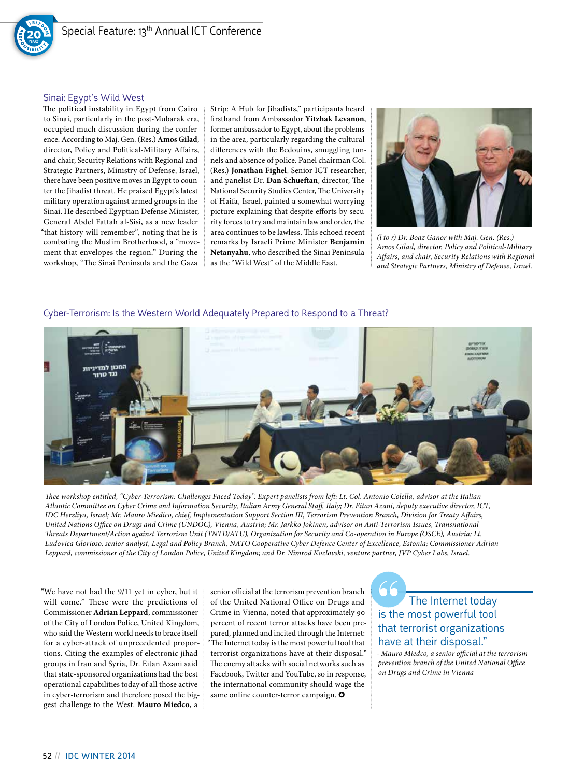

#### Sinai: Egypt's Wild West

The political instability in Egypt from Cairo to Sinai, particularly in the post-Mubarak era, occupied much discussion during the conference. According to Maj. Gen. (Res.) **Amos Gilad**, director, Policy and Political-Military Affairs, and chair, Security Relations with Regional and Strategic Partners, Ministry of Defense, Israel, there have been positive moves in Egypt to counter the Jihadist threat. He praised Egypt's latest military operation against armed groups in the Sinai. He described Egyptian Defense Minister, General Abdel Fattah al-Sisi, as a new leader "that history will remember", noting that he is combating the Muslim Brotherhood, a "movement that envelopes the region." During the workshop, "The Sinai Peninsula and the Gaza

Strip: A Hub for Jihadists," participants heard firsthand from Ambassador **Yitzhak Levanon**, former ambassador to Egypt, about the problems in the area, particularly regarding the cultural differences with the Bedouins, smuggling tunnels and absence of police. Panel chairman Col. (Res.) **Jonathan Fighel**, Senior ICT researcher, and panelist Dr. **Dan Schueftan**, director, The National Security Studies Center, The University of Haifa, Israel, painted a somewhat worrying picture explaining that despite efforts by security forces to try and maintain law and order, the area continues to be lawless. This echoed recent remarks by Israeli Prime Minister **Benjamin Netanyahu**, who described the Sinai Peninsula as the "Wild West" of the Middle East.



*(l to r) Dr. Boaz Ganor with Maj. Gen. (Res.) Amos Gilad, director, Policy and Political-Military Affairs, and chair, Security Relations with Regional and Strategic Partners, Ministry of Defense, Israel.*

#### Cyber-Terrorism: Is the Western World Adequately Prepared to Respond to a Threat?



*Thee workshop entitled, "Cyber-Terrorism: Challenges Faced Today". Expert panelists from left: Lt. Col. Antonio Colella, advisor at the Italian Atlantic Committee on Cyber Crime and Information Security, Italian Army General Staff, Italy; Dr. Eitan Azani, deputy executive director, ICT, IDC Herzliya, Israel; Mr. Mauro Miedico, chief, Implementation Support Section III, Terrorism Prevention Branch, Division for Treaty Affairs, United Nations Office on Drugs and Crime (UNDOC), Vienna, Austria; Mr. Jarkko Jokinen, advisor on Anti-Terrorism Issues, Transnational Threats Department/Action against Terrorism Unit (TNTD/ATU), Organization for Security and Co-operation in Europe (OSCE), Austria; Lt. Ludovica Glorioso, senior analyst, Legal and Policy Branch, NATO Cooperative Cyber Defence Center of Excellence, Estonia; Commissioner Adrian Leppard, commissioner of the City of London Police, United Kingdom; and Dr. Nimrod Kozlovski, venture partner, JVP Cyber Labs, Israel.*

"We have not had the 9/11 yet in cyber, but it will come." These were the predictions of Commissioner **Adrian Leppard**, commissioner of the City of London Police, United Kingdom, who said the Western world needs to brace itself for a cyber-attack of unprecedented proportions. Citing the examples of electronic jihad groups in Iran and Syria, Dr. Eitan Azani said that state-sponsored organizations had the best operational capabilities today of all those active in cyber-terrorism and therefore posed the biggest challenge to the West. **Mauro Miedco**, a

senior official at the terrorism prevention branch of the United National Office on Drugs and Crime in Vienna, noted that approximately 90 percent of recent terror attacks have been prepared, planned and incited through the Internet: "The Internet today is the most powerful tool that terrorist organizations have at their disposal." The enemy attacks with social networks such as Facebook, Twitter and YouTube, so in response, the international community should wage the same online counter-terror campaign.  $\bullet$ 

The Internet today is the most powerful tool that terrorist organizations have at their disposal."

*- Mauro Miedco, a senior official at the terrorism prevention branch of the United National Office on Drugs and Crime in Vienna*